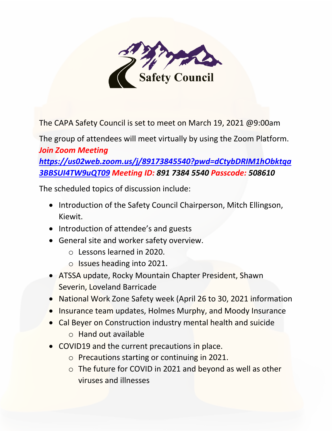

The CAPA Safety Council is set to meet on March 19, 2021 @9:00am

The group of attendees will meet virtually by using the Zoom Platform. *Join Zoom Meeting [https://us02web.zoom.us/j/89173845540?pwd=dCtybDRIM1hObktqa](https://us02web.zoom.us/j/89173845540?pwd=dCtybDRIM1hObktqa3BBSUI4TW9uQT09) [3BBSUI4TW9uQT09](https://us02web.zoom.us/j/89173845540?pwd=dCtybDRIM1hObktqa3BBSUI4TW9uQT09) Meeting ID: 891 7384 5540 Passcode: 508610*

The scheduled topics of discussion include:

- Introduction of the Safety Council Chairperson, Mitch Ellingson, Kiewit.
- Introduction of attendee's and guests
- General site and worker safety overview.
	- o Lessons learned in 2020.
	- o Issues heading into 2021.
- ATSSA update, Rocky Mountain Chapter President, Shawn Severin, Loveland Barricade
- National Work Zone Safety week (April 26 to 30, 2021 information
- Insurance team updates, Holmes Murphy, and Moody Insurance
- Cal Beyer on Construction industry mental health and suicide
	- o Hand out available
- COVID19 and the current precautions in place.
	- o Precautions starting or continuing in 2021.
	- o The future for COVID in 2021 and beyond as well as other viruses and illnesses